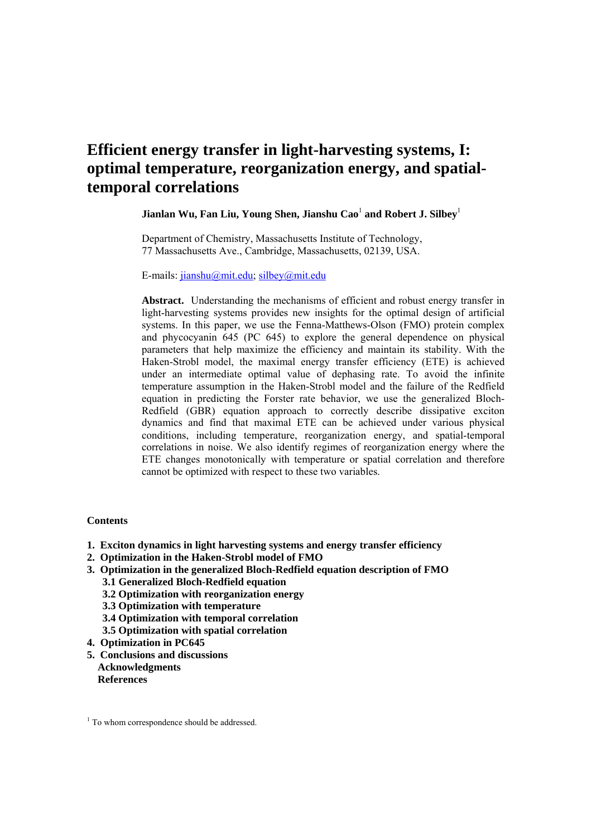# **Efficient energy transfer in light-harvesting systems, I: optimal temperature, reorganization energy, and spatialtemporal correlations**

# **Jianlan Wu, Fan Liu, Young Shen, Jianshu Cao**<sup>1</sup>  **and Robert J. Silbey**<sup>1</sup>

Department of Chemistry, Massachusetts Institute of Technology, 77 Massachusetts Ave., Cambridge, Massachusetts, 02139, USA.

E-mails: jianshu@mit.edu; silbey@mit.edu

**Abstract.** Understanding the mechanisms of efficient and robust energy transfer in light-harvesting systems provides new insights for the optimal design of artificial systems. In this paper, we use the Fenna-Matthews-Olson (FMO) protein complex and phycocyanin 645 (PC 645) to explore the general dependence on physical parameters that help maximize the efficiency and maintain its stability. With the Haken-Strobl model, the maximal energy transfer efficiency (ETE) is achieved under an intermediate optimal value of dephasing rate. To avoid the infinite temperature assumption in the Haken-Strobl model and the failure of the Redfield equation in predicting the Forster rate behavior, we use the generalized Bloch-Redfield (GBR) equation approach to correctly describe dissipative exciton dynamics and find that maximal ETE can be achieved under various physical conditions, including temperature, reorganization energy, and spatial-temporal correlations in noise. We also identify regimes of reorganization energy where the ETE changes monotonically with temperature or spatial correlation and therefore cannot be optimized with respect to these two variables.

## **Contents**

- **1. Exciton dynamics in light harvesting systems and energy transfer efficiency**
- **2. Optimization in the Haken-Strobl model of FMO**
- **3. Optimization in the generalized Bloch-Redfield equation description of FMO 3.1 Generalized Bloch-Redfield equation** 
	- **3.2 Optimization with reorganization energy**
	- **3.3 Optimization with temperature**
	- **3.4 Optimization with temporal correlation**
	- **3.5 Optimization with spatial correlation**
- **4. Optimization in PC645**
- **5. Conclusions and discussions Acknowledgments References**

<sup>&</sup>lt;sup>1</sup> To whom correspondence should be addressed.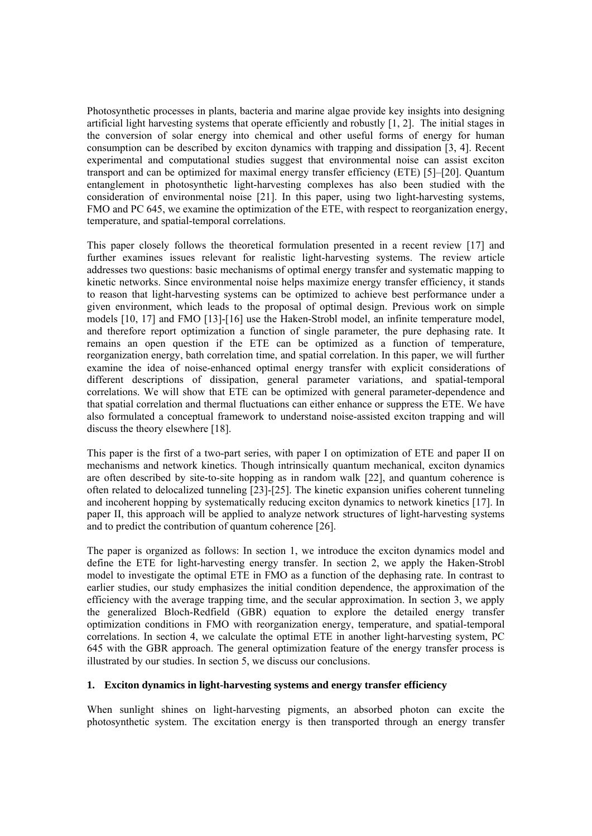Photosynthetic processes in plants, bacteria and marine algae provide key insights into designing artificial light harvesting systems that operate efficiently and robustly [1, 2]. The initial stages in the conversion of solar energy into chemical and other useful forms of energy for human consumption can be described by exciton dynamics with trapping and dissipation [3, 4]. Recent experimental and computational studies suggest that environmental noise can assist exciton transport and can be optimized for maximal energy transfer efficiency (ETE) [5]–[20]. Quantum entanglement in photosynthetic light-harvesting complexes has also been studied with the consideration of environmental noise [21]. In this paper, using two light-harvesting systems, FMO and PC 645, we examine the optimization of the ETE, with respect to reorganization energy, temperature, and spatial-temporal correlations.

This paper closely follows the theoretical formulation presented in a recent review [17] and further examines issues relevant for realistic light-harvesting systems. The review article addresses two questions: basic mechanisms of optimal energy transfer and systematic mapping to kinetic networks. Since environmental noise helps maximize energy transfer efficiency, it stands to reason that light-harvesting systems can be optimized to achieve best performance under a given environment, which leads to the proposal of optimal design. Previous work on simple models [10, 17] and FMO [13]-[16] use the Haken-Strobl model, an infinite temperature model, and therefore report optimization a function of single parameter, the pure dephasing rate. It remains an open question if the ETE can be optimized as a function of temperature, reorganization energy, bath correlation time, and spatial correlation. In this paper, we will further examine the idea of noise-enhanced optimal energy transfer with explicit considerations of different descriptions of dissipation, general parameter variations, and spatial-temporal correlations. We will show that ETE can be optimized with general parameter-dependence and that spatial correlation and thermal fluctuations can either enhance or suppress the ETE. We have also formulated a conceptual framework to understand noise-assisted exciton trapping and will discuss the theory elsewhere [18].

This paper is the first of a two-part series, with paper I on optimization of ETE and paper II on mechanisms and network kinetics. Though intrinsically quantum mechanical, exciton dynamics are often described by site-to-site hopping as in random walk [22], and quantum coherence is often related to delocalized tunneling [23]-[25]. The kinetic expansion unifies coherent tunneling and incoherent hopping by systematically reducing exciton dynamics to network kinetics [17]. In paper II, this approach will be applied to analyze network structures of light-harvesting systems and to predict the contribution of quantum coherence [26].

The paper is organized as follows: In section 1, we introduce the exciton dynamics model and define the ETE for light-harvesting energy transfer. In section 2, we apply the Haken-Strobl model to investigate the optimal ETE in FMO as a function of the dephasing rate. In contrast to earlier studies, our study emphasizes the initial condition dependence, the approximation of the efficiency with the average trapping time, and the secular approximation. In section 3, we apply the generalized Bloch-Redfield (GBR) equation to explore the detailed energy transfer optimization conditions in FMO with reorganization energy, temperature, and spatial-temporal correlations. In section 4, we calculate the optimal ETE in another light-harvesting system, PC 645 with the GBR approach. The general optimization feature of the energy transfer process is illustrated by our studies. In section 5, we discuss our conclusions.

## **1. Exciton dynamics in light-harvesting systems and energy transfer efficiency**

When sunlight shines on light-harvesting pigments, an absorbed photon can excite the photosynthetic system. The excitation energy is then transported through an energy transfer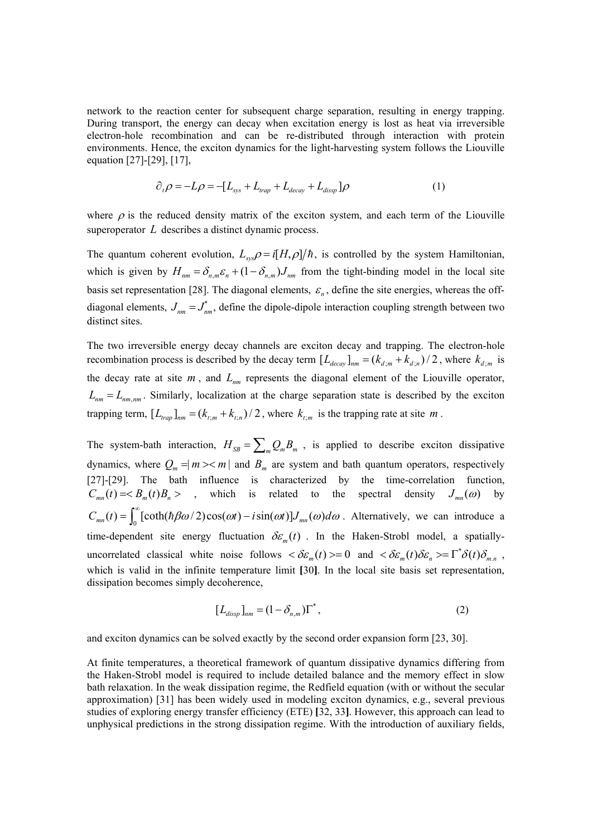network to the reaction center for subsequent charge separation, resulting in energy trapping. During transport, the energy can decay when excitation energy is lost as heat via irreversible electron-hole recombination and can be re-distributed through interaction with protein environments. Hence, the exciton dynamics for the light-harvesting system follows the Liouville equation [27]-[29], [17],

$$
\partial_t \rho = -L\rho = -[L_{sys} + L_{trap} + L_{decay} + L_{dissp}]\rho
$$
\n(1)

where  $\rho$  is the reduced density matrix of the exciton system, and each term of the Liouville superoperator *L* describes a distinct dynamic process.

The quantum coherent evolution,  $L_{sys}\rho = i[H,\rho]/\hbar$ , is controlled by the system Hamiltonian, which is given by  $H_{nm} = \delta_{n,m} \varepsilon_n + (1 - \delta_{n,m}) J_{nm}$  from the tight-binding model in the local site basis set representation [28]. The diagonal elements,  $\varepsilon_n$ , define the site energies, whereas the offdiagonal elements,  $J_{nm} = J_{nm}^*$ , define the dipole-dipole interaction coupling strength between two distinct sites.

The two irreversible energy decay channels are exciton decay and trapping. The electron-hole recombination process is described by the decay term  $[L_{decay}]_{nm} = (k_{d,m} + k_{d,n})/2$ , where  $k_{d,m}$  is the decay rate at site  $m$ , and  $L_{nm}$  represents the diagonal element of the Liouville operator,  $L_{nm} = L_{nm,nm}$ . Similarly, localization at the charge separation state is described by the exciton trapping term,  $[L_{trap}]_{nm} = (k_{t,m} + k_{t,n})/2$ , where  $k_{t,m}$  is the trapping rate at site *m*.

The system-bath interaction,  $H_{SB} = \sum_{m} Q_m B_m$ , is applied to describe exciton dissipative dynamics, where  $Q_m = |m \rangle \langle m|$  and  $B_m$  are system and bath quantum operators, respectively [27]-[29]. The bath influence is characterized by the time-correlation function,  $C_{mn}(t) = \langle B_m(t)B_n \rangle$ , which is related to the spectral density  $J_{mn}(\omega)$  by  $C_{mn}(t) = \int_0^\infty [\coth(\hbar \beta \omega/2) \cos(\omega t) - i \sin(\omega t)] J_{mn}(\omega) d\omega$ . Alternatively, we can introduce a time-dependent site energy fluctuation  $\delta \varepsilon_m(t)$ . In the Haken-Strobl model, a spatiallyuncorrelated classical white noise follows  $\langle \delta \varepsilon_m(t) \rangle = 0$  and  $\langle \delta \varepsilon_m(t) \delta \varepsilon_n \rangle = \Gamma^* \delta(t) \delta_{m,n}$ , which is valid in the infinite temperature limit **[**30**]**. In the local site basis set representation, dissipation becomes simply decoherence,

$$
[Ldisp]nm = (1 - \deltan,m)\Gamma*, \qquad (2)
$$

and exciton dynamics can be solved exactly by the second order expansion form [23, 30].

At finite temperatures, a theoretical framework of quantum dissipative dynamics differing from the Haken-Strobl model is required to include detailed balance and the memory effect in slow bath relaxation. In the weak dissipation regime, the Redfield equation (with or without the secular approximation) [31] has been widely used in modeling exciton dynamics, e.g., several previous studies of exploring energy transfer efficiency (ETE) **[**32, 33**]**. However, this approach can lead to unphysical predictions in the strong dissipation regime. With the introduction of auxiliary fields,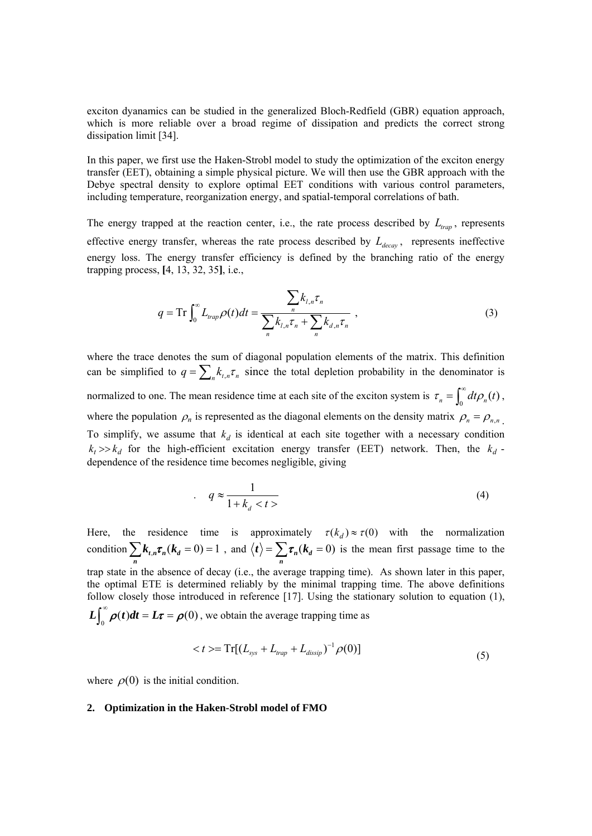exciton dyanamics can be studied in the generalized Bloch-Redfield (GBR) equation approach, which is more reliable over a broad regime of dissipation and predicts the correct strong dissipation limit [34].

In this paper, we first use the Haken-Strobl model to study the optimization of the exciton energy transfer (EET), obtaining a simple physical picture. We will then use the GBR approach with the Debye spectral density to explore optimal EET conditions with various control parameters, including temperature, reorganization energy, and spatial-temporal correlations of bath.

The energy trapped at the reaction center, i.e., the rate process described by  $L_{tran}$ , represents effective energy transfer, whereas the rate process described by  $L_{decay}$ , represents ineffective energy loss. The energy transfer efficiency is defined by the branching ratio of the energy trapping process, **[**4, 13, 32, 35**]**, i.e.,

$$
q = \operatorname{Tr} \int_0^\infty L_{trap} \rho(t) dt = \frac{\sum_n k_{l,n} \tau_n}{\sum_n k_{l,n} \tau_n + \sum_n k_{d,n} \tau_n} \,, \tag{3}
$$

where the trace denotes the sum of diagonal population elements of the matrix. This definition can be simplified to  $q = \sum_{n} k_{t,n} \tau_n$  since the total depletion probability in the denominator is normalized to one. The mean residence time at each site of the exciton system is  $\tau_n = \int_0^{\infty} dt \rho_n(t)$ , where the population  $\rho_n$  is represented as the diagonal elements on the density matrix  $\rho_n = \rho_{n,n}$ To simplify, we assume that  $k_d$  is identical at each site together with a necessary condition  $k_t$  >> $k_d$  for the high-efficient excitation energy transfer (EET) network. Then, the  $k_d$ dependence of the residence time becomes negligible, giving

$$
q \approx \frac{1}{1 + k_d < t} \tag{4}
$$

Here, the residence time is approximately  $\tau(k_d) \approx \tau(0)$  with the normalization condition  $\sum k_{t,n} \tau_n (k_d = 0) = 1$  $\sum_{n} k_{t,n} \tau_n(k_a = 0) = 1$ , and  $\langle t \rangle = \sum_{n} \tau_n(k_a = 0)$  is the mean first passage time to the trap state in the absence of decay (i.e., the average trapping time). As shown later in this paper, the optimal ETE is determined reliably by the minimal trapping time. The above definitions follow closely those introduced in reference [17]. Using the stationary solution to equation (1),  $L \int_0^{\infty} \rho(t) dt = L\tau = \rho(0)$ , we obtain the average trapping time as

$$
\langle t \rangle = \operatorname{Tr}[(L_{sys} + L_{trap} + L_{dissip})^{-1} \rho(0)] \tag{5}
$$

where  $\rho(0)$  is the initial condition.

#### **2. Optimization in the Haken-Strobl model of FMO**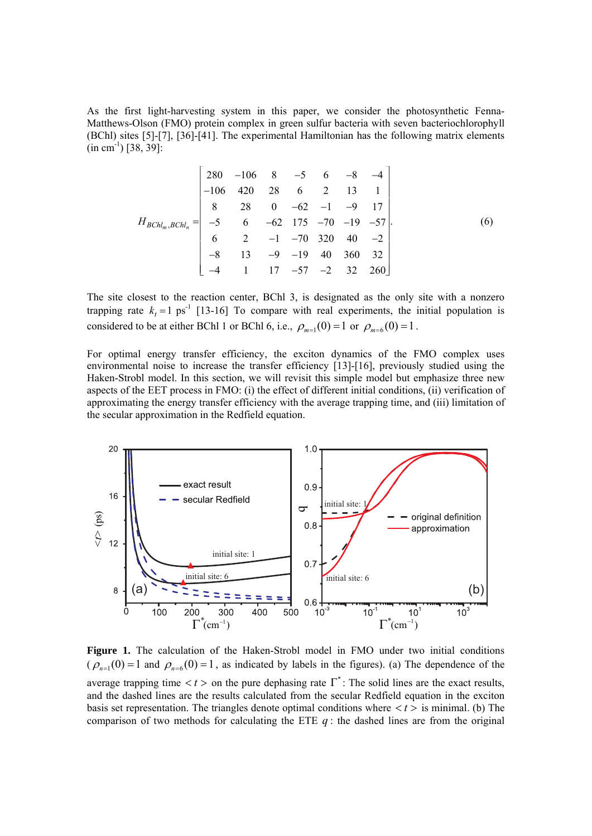As the first light-harvesting system in this paper, we consider the photosynthetic Fenna-Matthews-Olson (FMO) protein complex in green sulfur bacteria with seven bacteriochlorophyll (BChl) sites [5]-[7], [36]-[41]. The experimental Hamiltonian has the following matrix elements  $(in cm<sup>-1</sup>)$  [38, 39]:

$$
H_{BChl_m,BChl_n} = \begin{bmatrix} 280 & -106 & 8 & -5 & 6 & -8 & -4 \\ -106 & 420 & 28 & 6 & 2 & 13 & 1 \\ 8 & 28 & 0 & -62 & -1 & -9 & 17 \\ -5 & 6 & -62 & 175 & -70 & -19 & -57 \\ 6 & 2 & -1 & -70 & 320 & 40 & -2 \\ -8 & 13 & -9 & -19 & 40 & 360 & 32 \\ -4 & 1 & 17 & -57 & -2 & 32 & 260 \end{bmatrix} .
$$
 (6)

The site closest to the reaction center, BChl 3, is designated as the only site with a nonzero trapping rate  $k_t = 1$  ps<sup>-1</sup> [13-16] To compare with real experiments, the initial population is considered to be at either BChl 1 or BChl 6, i.e.,  $\rho_{m=1}(0) = 1$  or  $\rho_{m=6}(0) = 1$ .

For optimal energy transfer efficiency, the exciton dynamics of the FMO complex uses environmental noise to increase the transfer efficiency [13]-[16], previously studied using the Haken-Strobl model. In this section, we will revisit this simple model but emphasize three new aspects of the EET process in FMO: (i) the effect of different initial conditions, (ii) verification of approximating the energy transfer efficiency with the average trapping time, and (iii) limitation of the secular approximation in the Redfield equation.



**Figure 1.** The calculation of the Haken-Strobl model in FMO under two initial conditions  $(\rho_{n=1}(0) = 1$  and  $\rho_{n=6}(0) = 1$ , as indicated by labels in the figures). (a) The dependence of the average trapping time  $\langle t \rangle$  on the pure dephasing rate  $\Gamma^*$ : The solid lines are the exact results, and the dashed lines are the results calculated from the secular Redfield equation in the exciton basis set representation. The triangles denote optimal conditions where  $\langle t \rangle$  is minimal. (b) The comparison of two methods for calculating the ETE  $q$ : the dashed lines are from the original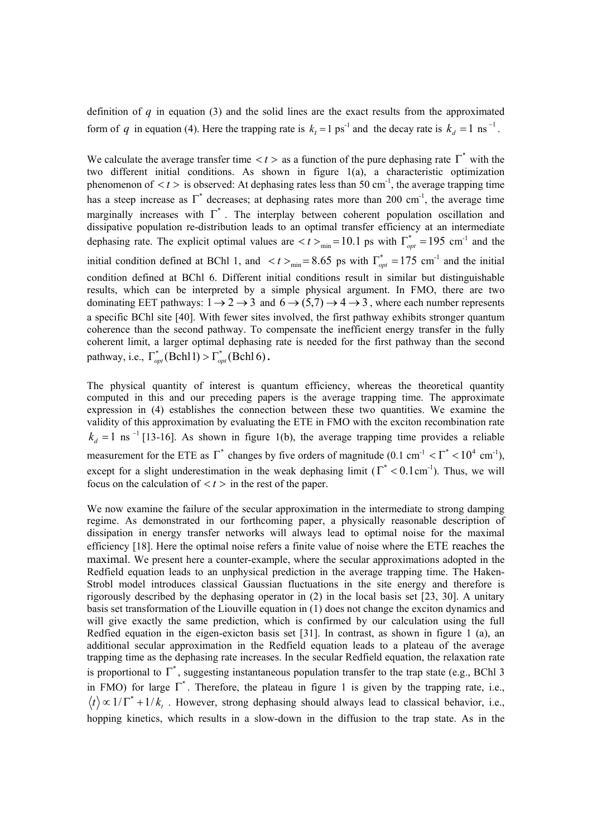definition of *q* in equation (3) and the solid lines are the exact results from the approximated form of *q* in equation (4). Here the trapping rate is  $k_t = 1 \text{ ps}^{-1}$  and the decay rate is  $k_d = 1 \text{ ns}^{-1}$ .

We calculate the average transfer time  $\langle t \rangle$  as a function of the pure dephasing rate  $\Gamma^*$  with the two different initial conditions. As shown in figure 1(a), a characteristic optimization phenomenon of  $\langle t \rangle$  is observed: At dephasing rates less than 50 cm<sup>-1</sup>, the average trapping time has a steep increase as  $\Gamma^*$  decreases; at dephasing rates more than 200 cm<sup>-1</sup>, the average time marginally increases with  $\Gamma^*$ . The interplay between coherent population oscillation and dissipative population re-distribution leads to an optimal transfer efficiency at an intermediate dephasing rate. The explicit optimal values are  $\langle t \rangle_{\text{min}} = 10.1$  ps with  $\Gamma_{opt}^* = 195$  cm<sup>-1</sup> and the initial condition defined at BChl 1, and  $\langle t \rangle_{min} = 8.65$  ps with  $\Gamma_{opt}^* = 175$  cm<sup>-1</sup> and the initial condition defined at BChl 6. Different initial conditions result in similar but distinguishable results, which can be interpreted by a simple physical argument. In FMO, there are two dominating EET pathways:  $1 \rightarrow 2 \rightarrow 3$  and  $6 \rightarrow (5,7) \rightarrow 4 \rightarrow 3$ , where each number represents a specific BChl site [40]. With fewer sites involved, the first pathway exhibits stronger quantum coherence than the second pathway. To compensate the inefficient energy transfer in the fully coherent limit, a larger optimal dephasing rate is needed for the first pathway than the second pathway, i.e.,  $\Gamma_{opt}^*$  (Bchl 1)  $>\Gamma_{opt}^*$  (Bchl 6).

The physical quantity of interest is quantum efficiency, whereas the theoretical quantity computed in this and our preceding papers is the average trapping time. The approximate expression in (4) establishes the connection between these two quantities. We examine the validity of this approximation by evaluating the ETE in FMO with the exciton recombination rate  $k_d = 1$  ns<sup>-1</sup> [13-16]. As shown in figure 1(b), the average trapping time provides a reliable measurement for the ETE as  $\Gamma^*$  changes by five orders of magnitude (0.1 cm<sup>-1</sup>  $\langle \Gamma^* \times 10^4 \text{ cm}^{-1} \rangle$ , except for a slight underestimation in the weak dephasing limit ( $\Gamma^*$  < 0.1 cm<sup>-1</sup>). Thus, we will focus on the calculation of  $\langle t \rangle$  in the rest of the paper.

We now examine the failure of the secular approximation in the intermediate to strong damping regime. As demonstrated in our forthcoming paper, a physically reasonable description of dissipation in energy transfer networks will always lead to optimal noise for the maximal efficiency [18]. Here the optimal noise refers a finite value of noise where the ETE reaches the maximal. We present here a counter-example, where the secular approximations adopted in the Redfield equation leads to an unphysical prediction in the average trapping time. The Haken-Strobl model introduces classical Gaussian fluctuations in the site energy and therefore is rigorously described by the dephasing operator in (2) in the local basis set [23, 30]. A unitary basis set transformation of the Liouville equation in (1) does not change the exciton dynamics and will give exactly the same prediction, which is confirmed by our calculation using the full Redfied equation in the eigen-exicton basis set [31]. In contrast, as shown in figure 1 (a), an additional secular approximation in the Redfield equation leads to a plateau of the average trapping time as the dephasing rate increases. In the secular Redfield equation, the relaxation rate is proportional to  $\overline{\Gamma}^*$ , suggesting instantaneous population transfer to the trap state (e.g., BChl 3) in FMO) for large  $\Gamma^*$ . Therefore, the plateau in figure 1 is given by the trapping rate, i.e.,  $\langle t \rangle \propto 1/\Gamma^* + 1/k$ . However, strong dephasing should always lead to classical behavior, i.e., hopping kinetics, which results in a slow-down in the diffusion to the trap state. As in the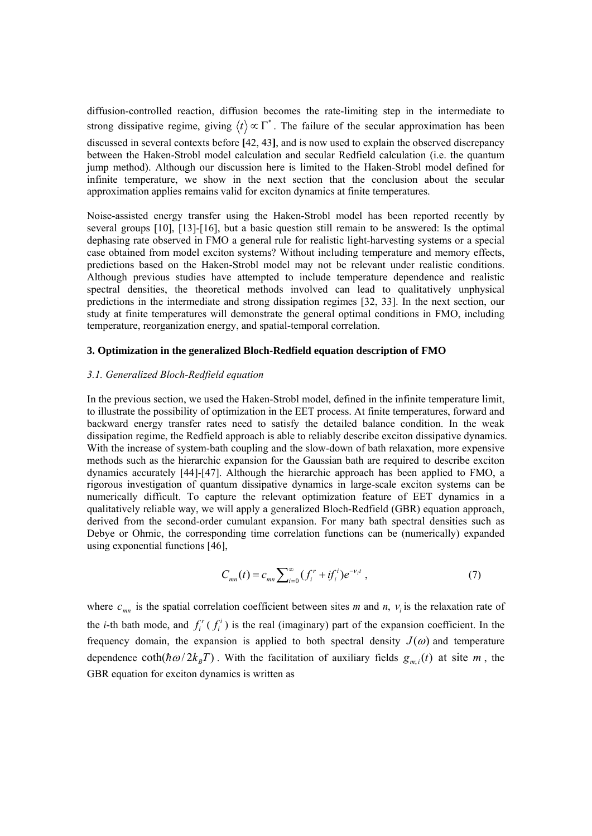diffusion-controlled reaction, diffusion becomes the rate-limiting step in the intermediate to strong dissipative regime, giving  $\langle t \rangle \propto \Gamma^*$ . The failure of the secular approximation has been discussed in several contexts before **[**42, 43**]**, and is now used to explain the observed discrepancy between the Haken-Strobl model calculation and secular Redfield calculation (i.e. the quantum jump method). Although our discussion here is limited to the Haken-Strobl model defined for infinite temperature, we show in the next section that the conclusion about the secular approximation applies remains valid for exciton dynamics at finite temperatures.

Noise-assisted energy transfer using the Haken-Strobl model has been reported recently by several groups [10], [13]-[16], but a basic question still remain to be answered: Is the optimal dephasing rate observed in FMO a general rule for realistic light-harvesting systems or a special case obtained from model exciton systems? Without including temperature and memory effects, predictions based on the Haken-Strobl model may not be relevant under realistic conditions. Although previous studies have attempted to include temperature dependence and realistic spectral densities, the theoretical methods involved can lead to qualitatively unphysical predictions in the intermediate and strong dissipation regimes [32, 33]. In the next section, our study at finite temperatures will demonstrate the general optimal conditions in FMO, including temperature, reorganization energy, and spatial-temporal correlation.

### **3. Optimization in the generalized Bloch-Redfield equation description of FMO**

## *3.1. Generalized Bloch-Redfield equation*

In the previous section, we used the Haken-Strobl model, defined in the infinite temperature limit, to illustrate the possibility of optimization in the EET process. At finite temperatures, forward and backward energy transfer rates need to satisfy the detailed balance condition. In the weak dissipation regime, the Redfield approach is able to reliably describe exciton dissipative dynamics. With the increase of system-bath coupling and the slow-down of bath relaxation, more expensive methods such as the hierarchic expansion for the Gaussian bath are required to describe exciton dynamics accurately [44]-[47]. Although the hierarchic approach has been applied to FMO, a rigorous investigation of quantum dissipative dynamics in large-scale exciton systems can be numerically difficult. To capture the relevant optimization feature of EET dynamics in a qualitatively reliable way, we will apply a generalized Bloch-Redfield (GBR) equation approach, derived from the second-order cumulant expansion. For many bath spectral densities such as Debye or Ohmic, the corresponding time correlation functions can be (numerically) expanded using exponential functions [46],

$$
C_{mn}(t) = c_{mn} \sum_{i=0}^{\infty} (f_i^r + if_i^i) e^{-v_i t} , \qquad (7)
$$

where  $c_{mn}$  is the spatial correlation coefficient between sites *m* and *n*,  $v_i$  is the relaxation rate of the *i*-th bath mode, and  $f_i^r(f_i^i)$  is the real (imaginary) part of the expansion coefficient. In the frequency domain, the expansion is applied to both spectral density  $J(\omega)$  and temperature dependence  $\coth(\hbar \omega/2k_B T)$ . With the facilitation of auxiliary fields  $g_{m,i}(t)$  at site *m*, the GBR equation for exciton dynamics is written as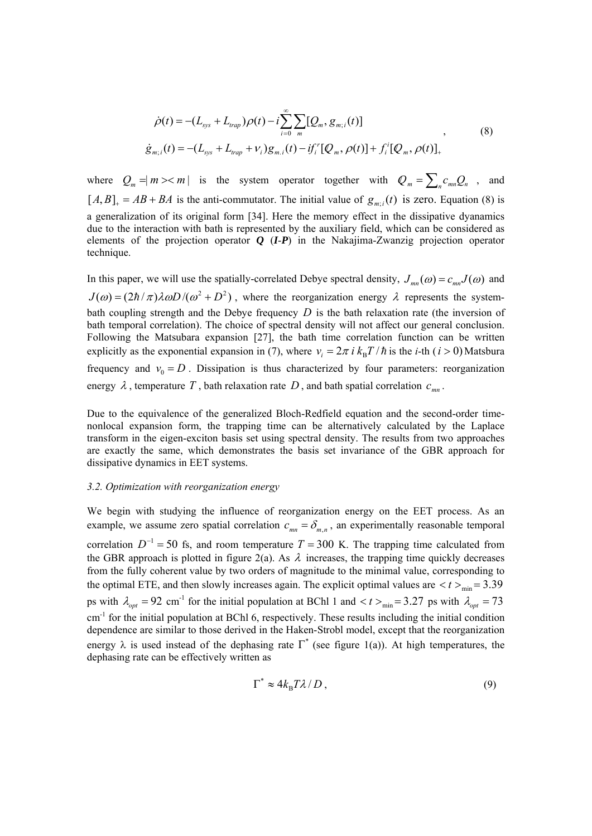$$
\dot{\rho}(t) = -(L_{sys} + L_{trap})\rho(t) - i \sum_{i=0}^{\infty} \sum_{m} [Q_m, g_{m,i}(t)]
$$
  
\n
$$
\dot{g}_{m,i}(t) = -(L_{sys} + L_{trap} + \nu_i)g_{m,i}(t) - i f_i^{\prime} [Q_m, \rho(t)] + f_i^{\prime} [Q_m, \rho(t)]_+ \tag{8}
$$

where  $Q_m = |m\rangle \langle m|$  is the system operator together with  $Q_m = \sum_n c_{mn} Q_n$ , and  $[A, B]_+ = AB + BA$  is the anti-commutator. The initial value of  $g_{m,i}(t)$  is zero. Equation (8) is a generalization of its original form [34]. Here the memory effect in the dissipative dyanamics due to the interaction with bath is represented by the auxiliary field, which can be considered as elements of the projection operator *Q* (*I*-*P*) in the Nakajima-Zwanzig projection operator technique.

In this paper, we will use the spatially-correlated Debye spectral density,  $J_{mn}(\omega) = c_{mn}J(\omega)$  and  $J(\omega) = (2\hbar/\pi)\lambda\omega D/(\omega^2 + D^2)$ , where the reorganization energy  $\lambda$  represents the systembath coupling strength and the Debye frequency *D* is the bath relaxation rate (the inversion of bath temporal correlation). The choice of spectral density will not affect our general conclusion. Following the Matsubara expansion [27], the bath time correlation function can be written explicitly as the exponential expansion in (7), where  $v_i = 2\pi i k_B T / \hbar$  is the *i*-th (*i* > 0) Matsbura frequency and  $v_0 = D$ . Dissipation is thus characterized by four parameters: reorganization energy  $\lambda$ , temperature T, bath relaxation rate D, and bath spatial correlation  $c_{mn}$ .

Due to the equivalence of the generalized Bloch-Redfield equation and the second-order timenonlocal expansion form, the trapping time can be alternatively calculated by the Laplace transform in the eigen-exciton basis set using spectral density. The results from two approaches are exactly the same, which demonstrates the basis set invariance of the GBR approach for dissipative dynamics in EET systems.

## *3.2. Optimization with reorganization energy*

We begin with studying the influence of reorganization energy on the EET process. As an example, we assume zero spatial correlation  $c_{mn} = \delta_{mn}$ , an experimentally reasonable temporal correlation  $D^{-1} = 50$  fs, and room temperature  $T = 300$  K. The trapping time calculated from the GBR approach is plotted in figure 2(a). As  $\lambda$  increases, the trapping time quickly decreases from the fully coherent value by two orders of magnitude to the minimal value, corresponding to the optimal ETE, and then slowly increases again. The explicit optimal values are  $\langle t \rangle_{\text{min}} = 3.39$ ps with  $\lambda_{opt} = 92$  cm<sup>-1</sup> for the initial population at BChl 1 and  $\lt t >_{min} = 3.27$  ps with  $\lambda_{opt} = 73$ cm<sup>-1</sup> for the initial population at BChl 6, respectively. These results including the initial condition dependence are similar to those derived in the Haken-Strobl model, except that the reorganization energy  $\lambda$  is used instead of the dephasing rate  $\overline{\Gamma}^*$  (see figure 1(a)). At high temperatures, the dephasing rate can be effectively written as

$$
\Gamma^* \approx 4k_B T \lambda / D \,, \tag{9}
$$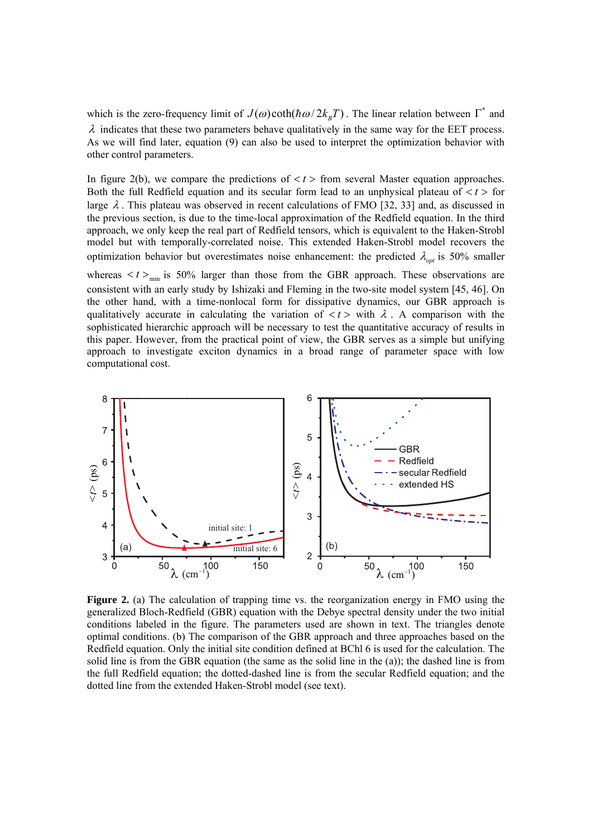which is the zero-frequency limit of  $J(\omega)$ coth( $\hbar \omega/2k_B T$ ). The linear relation between  $\Gamma^*$  and  $\lambda$  indicates that these two parameters behave qualitatively in the same way for the EET process. As we will find later, equation (9) can also be used to interpret the optimization behavior with other control parameters.

In figure 2(b), we compare the predictions of  $\langle t \rangle$  from several Master equation approaches. Both the full Redfield equation and its secular form lead to an unphysical plateau of  $\langle t \rangle$  for large  $\lambda$ . This plateau was observed in recent calculations of FMO [32, 33] and, as discussed in the previous section, is due to the time-local approximation of the Redfield equation. In the third approach, we only keep the real part of Redfield tensors, which is equivalent to the Haken-Strobl model but with temporally-correlated noise. This extended Haken-Strobl model recovers the optimization behavior but overestimates noise enhancement: the predicted  $\lambda_{\text{out}}$  is 50% smaller whereas  $\langle t \rangle$ <sub>min</sub> is 50% larger than those from the GBR approach. These observations are consistent with an early study by Ishizaki and Fleming in the two-site model system [45, 46]. On the other hand, with a time-nonlocal form for dissipative dynamics, our GBR approach is qualitatively accurate in calculating the variation of  $\lt t$   $>$  with  $\lambda$ . A comparison with the sophisticated hierarchic approach will be necessary to test the quantitative accuracy of results in this paper. However, from the practical point of view, the GBR serves as a simple but unifying approach to investigate exciton dynamics in a broad range of parameter space with low computational cost.



**Figure 2.** (a) The calculation of trapping time vs. the reorganization energy in FMO using the generalized Bloch-Redfield (GBR) equation with the Debye spectral density under the two initial conditions labeled in the figure. The parameters used are shown in text. The triangles denote optimal conditions. (b) The comparison of the GBR approach and three approaches based on the Redfield equation. Only the initial site condition defined at BChl 6 is used for the calculation. The solid line is from the GBR equation (the same as the solid line in the (a)); the dashed line is from the full Redfield equation; the dotted-dashed line is from the secular Redfield equation; and the dotted line from the extended Haken-Strobl model (see text).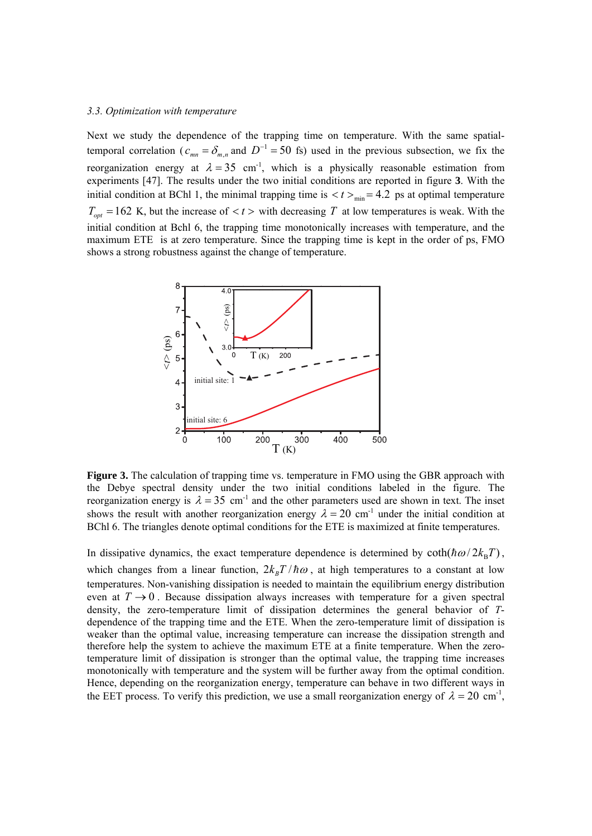#### *3.3. Optimization with temperature*

Next we study the dependence of the trapping time on temperature. With the same spatialtemporal correlation ( $c_{mn} = \delta_{mn}$  and  $D^{-1} = 50$  fs) used in the previous subsection, we fix the reorganization energy at  $\lambda = 35$  cm<sup>-1</sup>, which is a physically reasonable estimation from experiments [47]. The results under the two initial conditions are reported in figure **3**. With the initial condition at BChl 1, the minimal trapping time is  $\langle t \rangle_{\text{min}} = 4.2$  ps at optimal temperature  $T_{opt} = 162$  K, but the increase of  $\lt t >$  with decreasing T at low temperatures is weak. With the initial condition at Bchl 6, the trapping time monotonically increases with temperature, and the maximum ETE is at zero temperature. Since the trapping time is kept in the order of ps, FMO shows a strong robustness against the change of temperature.



**Figure 3.** The calculation of trapping time vs. temperature in FMO using the GBR approach with the Debye spectral density under the two initial conditions labeled in the figure. The reorganization energy is  $\lambda = 35$  cm<sup>-1</sup> and the other parameters used are shown in text. The inset shows the result with another reorganization energy  $\lambda = 20$  cm<sup>-1</sup> under the initial condition at BChl 6. The triangles denote optimal conditions for the ETE is maximized at finite temperatures.

In dissipative dynamics, the exact temperature dependence is determined by  $\coth(\hbar \omega/2k_BT)$ , which changes from a linear function,  $2k_BT/\hbar\omega$ , at high temperatures to a constant at low temperatures. Non-vanishing dissipation is needed to maintain the equilibrium energy distribution even at  $T \rightarrow 0$ . Because dissipation always increases with temperature for a given spectral density, the zero-temperature limit of dissipation determines the general behavior of *T*dependence of the trapping time and the ETE. When the zero-temperature limit of dissipation is weaker than the optimal value, increasing temperature can increase the dissipation strength and therefore help the system to achieve the maximum ETE at a finite temperature. When the zerotemperature limit of dissipation is stronger than the optimal value, the trapping time increases monotonically with temperature and the system will be further away from the optimal condition. Hence, depending on the reorganization energy, temperature can behave in two different ways in the EET process. To verify this prediction, we use a small reorganization energy of  $\lambda = 20$  cm<sup>-1</sup>,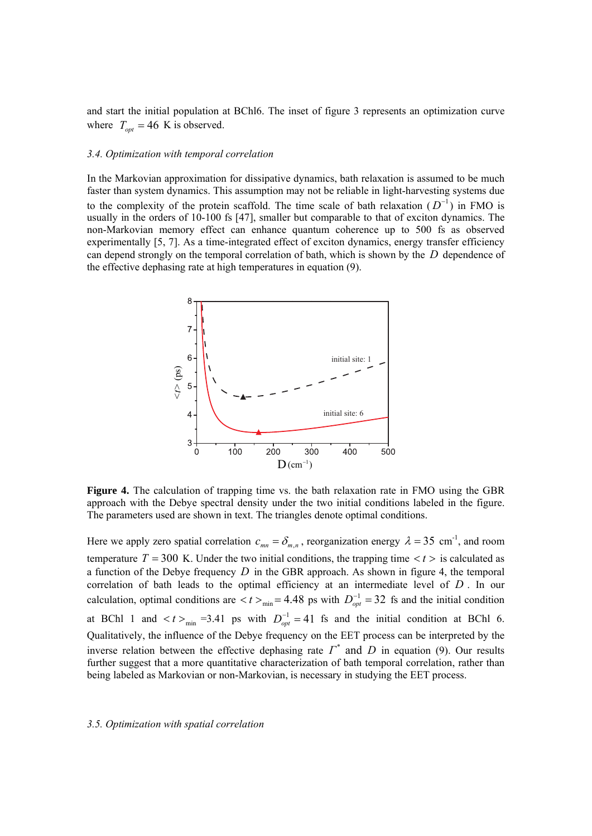and start the initial population at BChl6. The inset of figure 3 represents an optimization curve where  $T_{opt} = 46$  K is observed.

#### *3.4. Optimization with temporal correlation*

In the Markovian approximation for dissipative dynamics, bath relaxation is assumed to be much faster than system dynamics. This assumption may not be reliable in light-harvesting systems due to the complexity of the protein scaffold. The time scale of bath relaxation  $(D^{-1})$  in FMO is usually in the orders of 10-100 fs  $[47]$ , smaller but comparable to that of exciton dynamics. The non-Markovian memory effect can enhance quantum coherence up to 500 fs as observed experimentally [5, 7]. As a time-integrated effect of exciton dynamics, energy transfer efficiency can depend strongly on the temporal correlation of bath, which is shown by the *D* dependence of the effective dephasing rate at high temperatures in equation (9).



**Figure 4.** The calculation of trapping time vs. the bath relaxation rate in FMO using the GBR approach with the Debye spectral density under the two initial conditions labeled in the figure. The parameters used are shown in text. The triangles denote optimal conditions.

Here we apply zero spatial correlation  $c_{mn} = \delta_{m,n}$ , reorganization energy  $\lambda = 35$  cm<sup>-1</sup>, and room temperature  $T = 300$  K. Under the two initial conditions, the trapping time  $\langle t \rangle$  is calculated as a function of the Debye frequency *D* in the GBR approach. As shown in figure 4, the temporal correlation of bath leads to the optimal efficiency at an intermediate level of *D* . In our calculation, optimal conditions are  $\lt t >_{min} = 4.48$  ps with  $D_{opt}^{-1} = 32$  fs and the initial condition at BChl 1 and  $\langle t \rangle_{min}$  =3.41 ps with  $D_{opt}^{-1} = 41$  fs and the initial condition at BChl 6. Qualitatively, the influence of the Debye frequency on the EET process can be interpreted by the inverse relation between the effective dephasing rate  $\Gamma^*$  and  $D$  in equation (9). Our results further suggest that a more quantitative characterization of bath temporal correlation, rather than being labeled as Markovian or non-Markovian, is necessary in studying the EET process.

#### *3.5. Optimization with spatial correlation*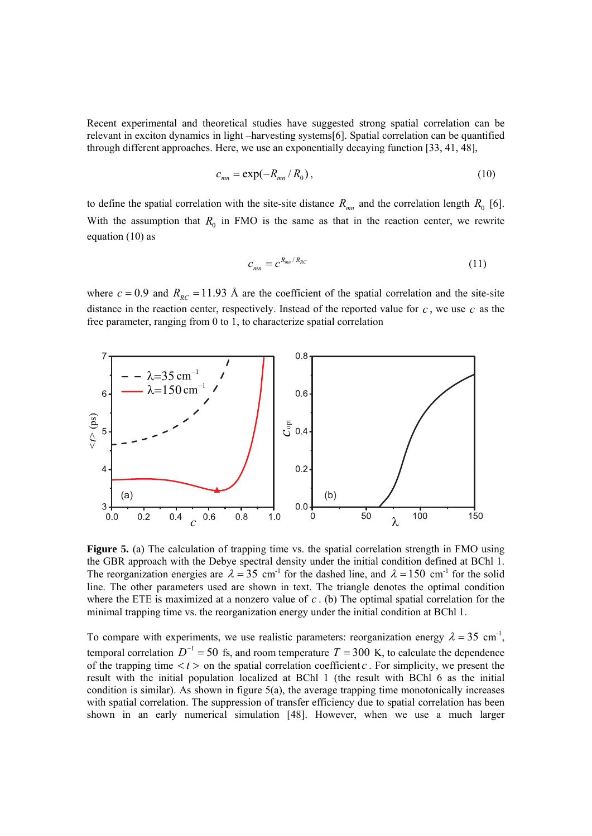Recent experimental and theoretical studies have suggested strong spatial correlation can be relevant in exciton dynamics in light –harvesting systems[6]. Spatial correlation can be quantified through different approaches. Here, we use an exponentially decaying function [33, 41, 48],

$$
c_{mn} = \exp(-R_{mn}/R_0),\tag{10}
$$

to define the spatial correlation with the site-site distance  $R_{mn}$  and the correlation length  $R_0$  [6]. With the assumption that  $R_0$  in FMO is the same as that in the reaction center, we rewrite equation (10) as

$$
c_{mn} = c^{R_{mn}/R_{RC}} \tag{11}
$$

where  $c = 0.9$  and  $R_{RC} = 11.93$  Å are the coefficient of the spatial correlation and the site-site distance in the reaction center, respectively. Instead of the reported value for *c* , we use *c* as the free parameter, ranging from 0 to 1, to characterize spatial correlation



Figure 5. (a) The calculation of trapping time vs. the spatial correlation strength in FMO using the GBR approach with the Debye spectral density under the initial condition defined at BChl 1. The reorganization energies are  $\lambda = 35$  cm<sup>-1</sup> for the dashed line, and  $\lambda = 150$  cm<sup>-1</sup> for the solid line. The other parameters used are shown in text. The triangle denotes the optimal condition where the ETE is maximized at a nonzero value of *c* . (b) The optimal spatial correlation for the minimal trapping time vs. the reorganization energy under the initial condition at BChl 1.

To compare with experiments, we use realistic parameters: reorganization energy  $\lambda = 35$  cm<sup>-1</sup>, temporal correlation  $D^{-1} = 50$  fs, and room temperature  $T = 300$  K, to calculate the dependence of the trapping time  $\langle t \rangle$  on the spatial correlation coefficient *c*. For simplicity, we present the result with the initial population localized at BChl 1 (the result with BChl 6 as the initial condition is similar). As shown in figure  $5(a)$ , the average trapping time monotonically increases with spatial correlation. The suppression of transfer efficiency due to spatial correlation has been shown in an early numerical simulation [48]. However, when we use a much larger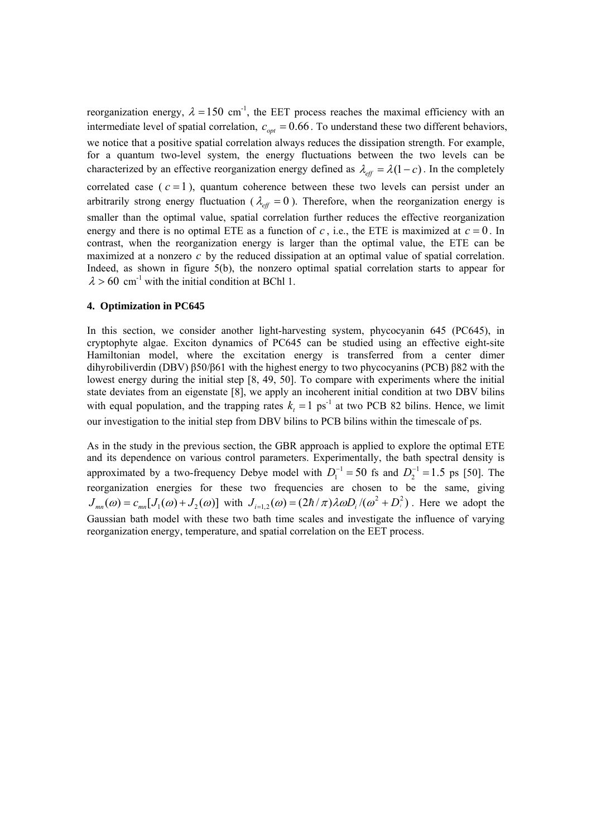reorganization energy,  $\lambda = 150$  cm<sup>-1</sup>, the EET process reaches the maximal efficiency with an intermediate level of spatial correlation,  $c_{opt} = 0.66$ . To understand these two different behaviors, we notice that a positive spatial correlation always reduces the dissipation strength. For example, for a quantum two-level system, the energy fluctuations between the two levels can be characterized by an effective reorganization energy defined as  $\lambda_{eff} = \lambda(1 - c)$ . In the completely correlated case  $(c = 1)$ , quantum coherence between these two levels can persist under an arbitrarily strong energy fluctuation ( $\lambda_{\text{eff}} = 0$ ). Therefore, when the reorganization energy is smaller than the optimal value, spatial correlation further reduces the effective reorganization energy and there is no optimal ETE as a function of  $c$ , i.e., the ETE is maximized at  $c = 0$ . In contrast, when the reorganization energy is larger than the optimal value, the ETE can be maximized at a nonzero *c* by the reduced dissipation at an optimal value of spatial correlation. Indeed, as shown in figure 5(b), the nonzero optimal spatial correlation starts to appear for  $\lambda > 60$  cm<sup>-1</sup> with the initial condition at BChl 1.

## **4. Optimization in PC645**

In this section, we consider another light-harvesting system, phycocyanin 645 (PC645), in cryptophyte algae. Exciton dynamics of PC645 can be studied using an effective eight-site Hamiltonian model, where the excitation energy is transferred from a center dimer dihyrobiliverdin (DBV) β50/β61 with the highest energy to two phycocyanins (PCB) β82 with the lowest energy during the initial step [8, 49, 50]. To compare with experiments where the initial state deviates from an eigenstate [8], we apply an incoherent initial condition at two DBV bilins with equal population, and the trapping rates  $k<sub>r</sub> = 1$  ps<sup>-1</sup> at two PCB 82 bilins. Hence, we limit our investigation to the initial step from DBV bilins to PCB bilins within the timescale of ps.

As in the study in the previous section, the GBR approach is applied to explore the optimal ETE and its dependence on various control parameters. Experimentally, the bath spectral density is approximated by a two-frequency Debye model with  $D_1^{-1} = 50$  fs and  $D_2^{-1} = 1.5$  ps [50]. The reorganization energies for these two frequencies are chosen to be the same, giving  $J_{mn}(\omega) = c_{mn} [J_1(\omega) + J_2(\omega)]$  with  $J_{i=1,2}(\omega) = (2\hbar/\pi)\lambda \omega D_i/(\omega^2 + D_i^2)$ . Here we adopt the Gaussian bath model with these two bath time scales and investigate the influence of varying reorganization energy, temperature, and spatial correlation on the EET process.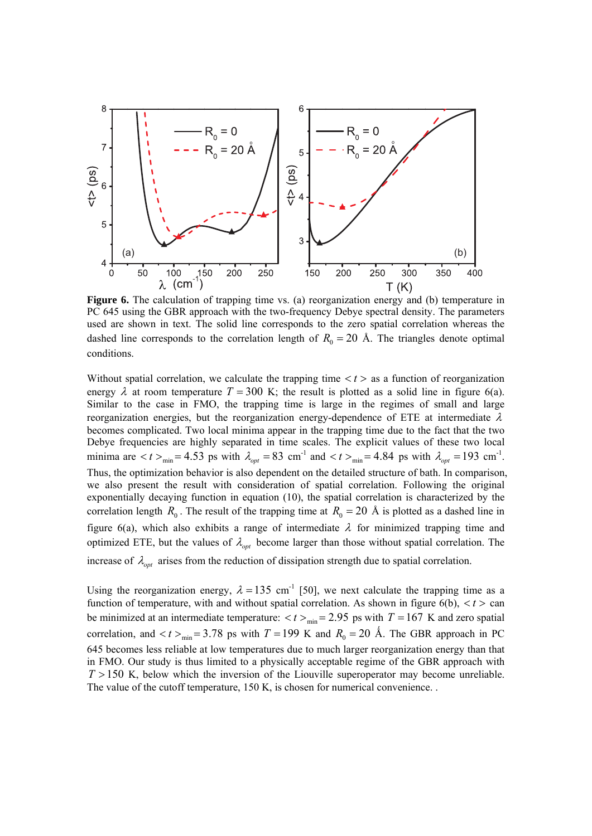

**Figure 6.** The calculation of trapping time vs. (a) reorganization energy and (b) temperature in PC 645 using the GBR approach with the two-frequency Debye spectral density. The parameters used are shown in text. The solid line corresponds to the zero spatial correlation whereas the dashed line corresponds to the correlation length of  $R_0 = 20$  Å. The triangles denote optimal conditions.

Without spatial correlation, we calculate the trapping time  $\langle t \rangle$  as a function of reorganization energy  $\lambda$  at room temperature  $T = 300$  K; the result is plotted as a solid line in figure 6(a). Similar to the case in FMO, the trapping time is large in the regimes of small and large reorganization energies, but the reorganization energy-dependence of ETE at intermediate  $\lambda$ becomes complicated. Two local minima appear in the trapping time due to the fact that the two Debye frequencies are highly separated in time scales. The explicit values of these two local minima are  $< t >_{min} = 4.53$  ps with  $\lambda_{opt} = 83$  cm<sup>-1</sup> and  $< t >_{min} = 4.84$  ps with  $\lambda_{opt} = 193$  cm<sup>-1</sup>. Thus, the optimization behavior is also dependent on the detailed structure of bath. In comparison, we also present the result with consideration of spatial correlation. Following the original exponentially decaying function in equation (10), the spatial correlation is characterized by the correlation length  $R_0$ . The result of the trapping time at  $R_0 = 20$  Å is plotted as a dashed line in figure 6(a), which also exhibits a range of intermediate  $\lambda$  for minimized trapping time and optimized ETE, but the values of  $\lambda_{opt}$  become larger than those without spatial correlation. The increase of  $\lambda_{\text{opt}}$  arises from the reduction of dissipation strength due to spatial correlation.

Using the reorganization energy,  $\lambda = 135$  cm<sup>-1</sup> [50], we next calculate the trapping time as a function of temperature, with and without spatial correlation. As shown in figure  $6(b)$ ,  $\lt t >$  can be minimized at an intermediate temperature:  $\langle t \rangle_{\text{min}} = 2.95$  ps with  $T = 167$  K and zero spatial correlation, and  $\lt t >_{\text{min}}$  = 3.78 ps with  $T = 199$  K and  $R_0 = 20$  Å. The GBR approach in PC 645 becomes less reliable at low temperatures due to much larger reorganization energy than that in FMO. Our study is thus limited to a physically acceptable regime of the GBR approach with  $T > 150$  K, below which the inversion of the Liouville superoperator may become unreliable. The value of the cutoff temperature, 150 K, is chosen for numerical convenience. .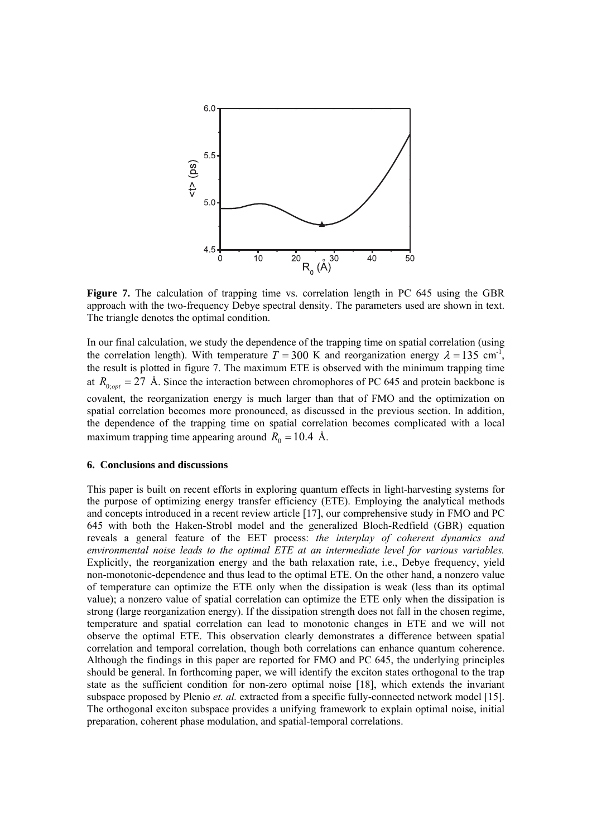

**Figure 7.** The calculation of trapping time vs. correlation length in PC 645 using the GBR approach with the two-frequency Debye spectral density. The parameters used are shown in text. The triangle denotes the optimal condition.

In our final calculation, we study the dependence of the trapping time on spatial correlation (using the correlation length). With temperature  $T = 300$  K and reorganization energy  $\lambda = 135$  cm<sup>-1</sup>, the result is plotted in figure 7. The maximum ETE is observed with the minimum trapping time at  $R_{0;opt} = 27$  Å. Since the interaction between chromophores of PC 645 and protein backbone is covalent, the reorganization energy is much larger than that of FMO and the optimization on spatial correlation becomes more pronounced, as discussed in the previous section. In addition, the dependence of the trapping time on spatial correlation becomes complicated with a local maximum trapping time appearing around  $R_0 = 10.4$  Å.

#### **6. Conclusions and discussions**

This paper is built on recent efforts in exploring quantum effects in light-harvesting systems for the purpose of optimizing energy transfer efficiency (ETE). Employing the analytical methods and concepts introduced in a recent review article [17], our comprehensive study in FMO and PC 645 with both the Haken-Strobl model and the generalized Bloch-Redfield (GBR) equation reveals a general feature of the EET process: *the interplay of coherent dynamics and environmental noise leads to the optimal ETE at an intermediate level for various variables.* Explicitly, the reorganization energy and the bath relaxation rate, i.e., Debye frequency, yield non-monotonic-dependence and thus lead to the optimal ETE. On the other hand, a nonzero value of temperature can optimize the ETE only when the dissipation is weak (less than its optimal value); a nonzero value of spatial correlation can optimize the ETE only when the dissipation is strong (large reorganization energy). If the dissipation strength does not fall in the chosen regime, temperature and spatial correlation can lead to monotonic changes in ETE and we will not observe the optimal ETE. This observation clearly demonstrates a difference between spatial correlation and temporal correlation, though both correlations can enhance quantum coherence. Although the findings in this paper are reported for FMO and PC 645, the underlying principles should be general. In forthcoming paper, we will identify the exciton states orthogonal to the trap state as the sufficient condition for non-zero optimal noise [18], which extends the invariant subspace proposed by Plenio *et. al.* extracted from a specific fully-connected network model [15]. The orthogonal exciton subspace provides a unifying framework to explain optimal noise, initial preparation, coherent phase modulation, and spatial-temporal correlations.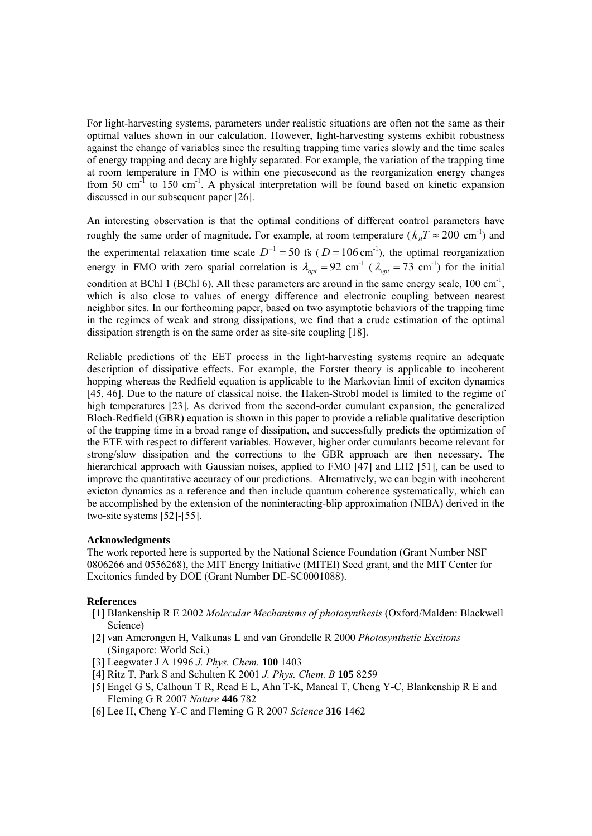For light-harvesting systems, parameters under realistic situations are often not the same as their optimal values shown in our calculation. However, light-harvesting systems exhibit robustness against the change of variables since the resulting trapping time varies slowly and the time scales of energy trapping and decay are highly separated. For example, the variation of the trapping time at room temperature in FMO is within one piecosecond as the reorganization energy changes from 50 cm<sup>-1</sup> to 150 cm<sup>-1</sup>. A physical interpretation will be found based on kinetic expansion discussed in our subsequent paper [26].

An interesting observation is that the optimal conditions of different control parameters have roughly the same order of magnitude. For example, at room temperature ( $k<sub>B</sub>T \approx 200$  cm<sup>-1</sup>) and the experimental relaxation time scale  $D^{-1} = 50$  fs ( $D = 106$  cm<sup>-1</sup>), the optimal reorganization energy in FMO with zero spatial correlation is  $\lambda_{opt} = 92$  cm<sup>-1</sup> ( $\lambda_{opt} = 73$  cm<sup>-1</sup>) for the initial condition at BChl 1 (BChl 6). All these parameters are around in the same energy scale,  $100 \text{ cm}^{-1}$ . which is also close to values of energy difference and electronic coupling between nearest neighbor sites. In our forthcoming paper, based on two asymptotic behaviors of the trapping time in the regimes of weak and strong dissipations, we find that a crude estimation of the optimal dissipation strength is on the same order as site-site coupling [18].

Reliable predictions of the EET process in the light-harvesting systems require an adequate description of dissipative effects. For example, the Forster theory is applicable to incoherent hopping whereas the Redfield equation is applicable to the Markovian limit of exciton dynamics [45, 46]. Due to the nature of classical noise, the Haken-Strobl model is limited to the regime of high temperatures [23]. As derived from the second-order cumulant expansion, the generalized Bloch-Redfield (GBR) equation is shown in this paper to provide a reliable qualitative description of the trapping time in a broad range of dissipation, and successfully predicts the optimization of the ETE with respect to different variables. However, higher order cumulants become relevant for strong/slow dissipation and the corrections to the GBR approach are then necessary. The hierarchical approach with Gaussian noises, applied to FMO [47] and LH2 [51], can be used to improve the quantitative accuracy of our predictions. Alternatively, we can begin with incoherent exicton dynamics as a reference and then include quantum coherence systematically, which can be accomplished by the extension of the noninteracting-blip approximation (NIBA) derived in the two-site systems [52]-[55].

## **Acknowledgments**

The work reported here is supported by the National Science Foundation (Grant Number NSF 0806266 and 0556268), the MIT Energy Initiative (MITEI) Seed grant, and the MIT Center for Excitonics funded by DOE (Grant Number DE-SC0001088).

## **References**

- [1] Blankenship R E 2002 *Molecular Mechanisms of photosynthesis* (Oxford/Malden: Blackwell Science)
- [2] van Amerongen H, Valkunas L and van Grondelle R 2000 *Photosynthetic Excitons* (Singapore: World Sci.)
- [3] Leegwater J A 1996 *J. Phys. Chem.* **100** 1403
- [4] Ritz T, Park S and Schulten K 2001 *J. Phys. Chem. B* **105** 8259
- [5] Engel G S, Calhoun T R, Read E L, Ahn T-K, Mancal T, Cheng Y-C, Blankenship R E and Fleming G R 2007 *Nature* **446** 782
- [6] Lee H, Cheng Y-C and Fleming G R 2007 *Science* **316** 1462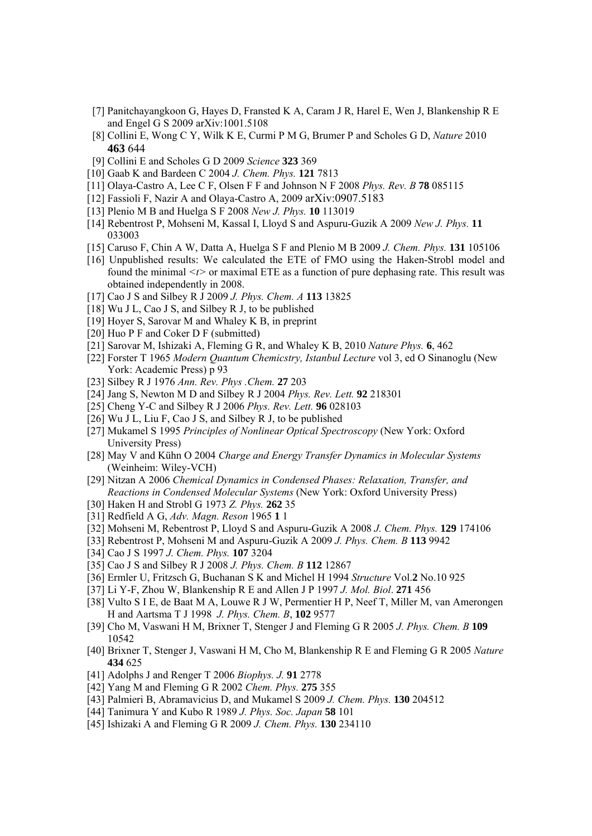- [7] Panitchayangkoon G, Hayes D, Fransted K A, Caram J R, Harel E, Wen J, Blankenship R E and Engel G S 2009 arXiv:1001.5108
- [8] Collini E, Wong C Y, Wilk K E, Curmi P M G, Brumer P and Scholes G D, *Nature* 2010 **463** 644
- [9] Collini E and Scholes G D 2009 *Science* **323** 369
- [10] Gaab K and Bardeen C 2004 *J. Chem. Phys.* **121** 7813
- [11] Olaya-Castro A, Lee C F, Olsen F F and Johnson N F 2008 *Phys. Rev. B* **78** 085115
- [12] Fassioli F, Nazir A and Olaya-Castro A, 2009 arXiv:0907.5183
- [13] Plenio M B and Huelga S F 2008 *New J. Phys.* **10** 113019
- [14] Rebentrost P, Mohseni M, Kassal I, Lloyd S and Aspuru-Guzik A 2009 *New J. Phys.* **11** 033003
- [15] Caruso F, Chin A W, Datta A, Huelga S F and Plenio M B 2009 *J. Chem. Phys.* **131** 105106
- [16] Unpublished results: We calculated the ETE of FMO using the Haken-Strobl model and found the minimal *<t>* or maximal ETE as a function of pure dephasing rate. This result was obtained independently in 2008.
- [17] Cao J S and Silbey R J 2009 *J. Phys. Chem. A* **113** 13825
- [18] Wu J L, Cao J S, and Silbey R J, to be published
- [19] Hoyer S, Sarovar M and Whaley K B, in preprint
- [20] Huo P F and Coker D F (submitted)
- [21] Sarovar M, Ishizaki A, Fleming G R, and Whaley K B, 2010 *Nature Phys.* **6**, 462
- [22] Forster T 1965 *Modern Quantum Chemicstry, Istanbul Lecture* vol 3, ed O Sinanoglu (New York: Academic Press) p 93
- [23] Silbey R J 1976 *Ann. Rev. Phys .Chem.* **27** 203
- [24] Jang S, Newton M D and Silbey R J 2004 *Phys. Rev. Lett.* **92** 218301
- [25] Cheng Y-C and Silbey R J 2006 *Phys. Rev. Lett.* **96** 028103
- [26] Wu J L, Liu F, Cao J S, and Silbey R J, to be published
- [27] Mukamel S 1995 *Principles of Nonlinear Optical Spectroscopy* (New York: Oxford University Press)
- [28] May V and Kühn O 2004 *Charge and Energy Transfer Dynamics in Molecular Systems* (Weinheim: Wiley-VCH)
- [29] Nitzan A 2006 *Chemical Dynamics in Condensed Phases: Relaxation, Transfer, and Reactions in Condensed Molecular Systems* (New York: Oxford University Press)
- [30] Haken H and Strobl G 1973 *Z. Phys.* **262** 35
- [31] Redfield A G, *Adv. Magn. Reson* 1965 **1** 1
- [32] Mohseni M, Rebentrost P, Lloyd S and Aspuru-Guzik A 2008 *J. Chem. Phys.* **129** 174106
- [33] Rebentrost P, Mohseni M and Aspuru-Guzik A 2009 *J. Phys. Chem. B* **113** 9942
- [34] Cao J S 1997 *J. Chem. Phys.* **107** 3204
- [35] Cao J S and Silbey R J 2008 *J. Phys. Chem. B* **112** 12867
- [36] Ermler U, Fritzsch G, Buchanan S K and Michel H 1994 *Structure* Vol.**2** No.10 925
- [37] Li Y-F, Zhou W, Blankenship R E and Allen J P 1997 *J. Mol. Biol*. **271** 456
- [38] Vulto S I E, de Baat M A, Louwe R J W, Permentier H P, Neef T, Miller M, van Amerongen H and Aartsma T J 1998 *J. Phys. Chem. B*, **102** 9577
- [39] Cho M, Vaswani H M, Brixner T, Stenger J and Fleming G R 2005 *J. Phys. Chem. B* **109** 10542
- [40] Brixner T, Stenger J, Vaswani H M, Cho M, Blankenship R E and Fleming G R 2005 *Nature* **434** 625
- [41] Adolphs J and Renger T 2006 *Biophys. J.* **91** 2778
- [42] Yang M and Fleming G R 2002 *Chem. Phys.* **275** 355
- [43] Palmieri B, Abramavicius D, and Mukamel S 2009 *J. Chem. Phys.* **130** 204512
- [44] Tanimura Y and Kubo R 1989 *J. Phys. Soc. Japan* **58** 101
- [45] Ishizaki A and Fleming G R 2009 *J. Chem. Phys.* **130** 234110